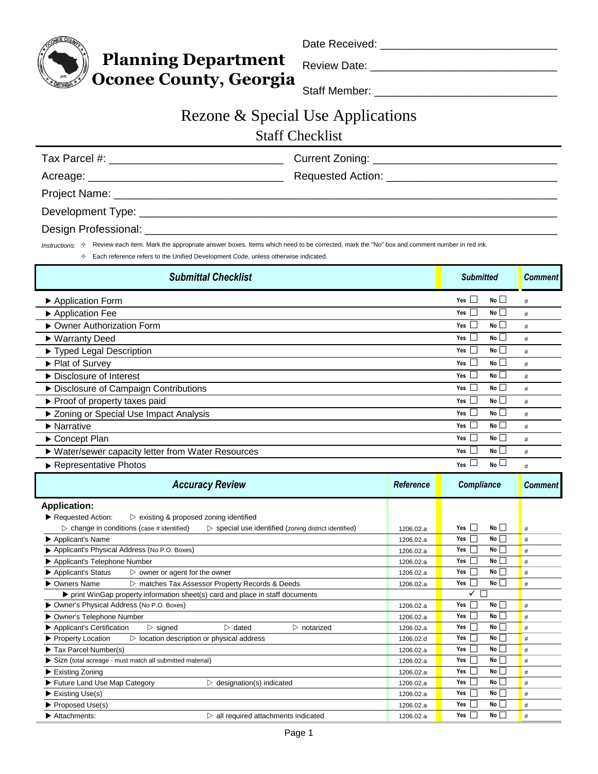

Date Received: \_\_\_\_\_\_\_\_\_\_\_\_\_\_\_\_\_\_\_\_\_\_\_\_\_\_\_\_\_\_\_\_\_\_\_\_\_\_\_\_

Review Date: \_\_\_\_\_\_\_\_\_\_\_\_\_\_\_\_\_\_\_\_\_\_\_\_\_\_\_\_\_\_\_\_\_\_\_\_\_\_\_

**Oconee County, Georgia** Staff Member: \_\_\_\_\_\_\_\_\_\_\_\_\_\_\_\_\_\_\_\_\_\_\_\_\_\_\_\_\_\_\_\_\_\_\_\_\_

## Rezone & Special Use Applications

## Staff Checklist

| Tax Parcel #:<br><u> 1980 - John Stein, Amerikaansk politiker (</u> † 1920) |  |
|-----------------------------------------------------------------------------|--|
|                                                                             |  |
|                                                                             |  |
|                                                                             |  |
| Destau Dusfassiauski                                                        |  |

Design Professional:

Instructions:  $\Diamond$  Review each item. Mark the appropriate answer boxes. Items which need to be corrected, mark the "No" box and comment number in red ink.

 $\Diamond$  Each reference refers to the Unified Development Code, unless otherwise indicated.

**Planning Department** 

| <b>Submittal Checklist</b>                                                                                                                            |                        | <b>Submitted</b>                 | <b>Comment</b> |
|-------------------------------------------------------------------------------------------------------------------------------------------------------|------------------------|----------------------------------|----------------|
| ▶ Application Form                                                                                                                                    |                        | No<br>Yes $\Box$                 | #              |
| Application Fee                                                                                                                                       |                        | No<br>$\Box$<br>Yes              | #              |
| ▶ Owner Authorization Form                                                                                                                            |                        | No<br>Yes $\Box$                 | #              |
| ▶ Warranty Deed                                                                                                                                       |                        | No<br>Yes                        | #              |
| Typed Legal Description                                                                                                                               |                        | No<br>Yes                        | #              |
| ▶ Plat of Survey                                                                                                                                      |                        | No<br>Yes                        | #              |
| ▶ Disclosure of Interest                                                                                                                              |                        | No<br>Yes                        | #              |
| Disclosure of Campaign Contributions                                                                                                                  |                        | No<br>Yes                        | $\#$           |
| ▶ Proof of property taxes paid                                                                                                                        |                        | No<br>Yes                        | #              |
| ▶ Zoning or Special Use Impact Analysis                                                                                                               |                        | No<br>Yes                        | #              |
| $\blacktriangleright$ Narrative                                                                                                                       |                        | No<br>Yes                        | $\#$           |
| Concept Plan                                                                                                                                          |                        | Yes<br>No L                      | #              |
| ▶ Water/sewer capacity letter from Water Resources                                                                                                    |                        | No<br>Yes                        | #              |
| Representative Photos                                                                                                                                 |                        | $N_0$<br>Yes                     | #              |
| <b>Accuracy Review</b>                                                                                                                                | Reference              | <b>Compliance</b>                | <b>Comment</b> |
| <b>Application:</b>                                                                                                                                   |                        |                                  |                |
| Requested Action:<br>$\triangleright$ existing & proposed zoning identified                                                                           |                        | No<br>П<br>Yes                   | #              |
| $\triangleright$ change in conditions (case # identified)<br>$\triangleright$ special use identified (zoning district identified)<br>Applicant's Name | 1206.02.a<br>1206.02.a | Yes<br>No l                      | #              |
| Applicant's Physical Address (No P.O. Boxes)                                                                                                          | 1206.02.a              | No<br>$\Box$<br>Yes              | #              |
| Applicant's Telephone Number                                                                                                                          | 1206.02.a              | Yes<br>No                        | #              |
| Applicant's Status<br>$\triangleright$ owner or agent for the owner                                                                                   | 1206.02.a              | Yes $\Box$<br>No l               | #              |
| > matches Tax Assessor Property Records & Deeds<br>▶ Owners Name                                                                                      | 1206.02.a              | No<br>Yes                        | #              |
| print WinGap property information sheet(s) card and place in staff documents                                                                          |                        | $\checkmark$<br>$\Box$           |                |
| Owner's Physical Address (No P.O. Boxes)                                                                                                              | 1206.02.a              | Yes<br>No<br>$\mathsf{L}$        | #              |
| ▶ Owner's Telephone Number                                                                                                                            | 1206.02.a              | No<br>Yes                        | #              |
| $\triangleright$ dated<br>Applicant's Certification<br>$\triangleright$ signed<br>$\triangleright$ notarized                                          | 1206.02.a              | No l<br>Yes<br>$\vert \ \ \vert$ | #              |
| ▶ Property Location<br>$\triangleright$ location description or physical address                                                                      | 1206.02.d              | Yes<br>No l                      | $\#$           |
| Tax Parcel Number(s)                                                                                                                                  | 1206.02.a              | Yes $\Box$<br>No                 | #              |
| Size (total acreage - must match all submitted material)                                                                                              | 1206.02.a              | Yes<br>$\Box$<br>No              | #              |
| Existing Zoning                                                                                                                                       | 1206.02.a              | No<br>Yes                        | #              |
| Future Land Use Map Category<br>$\triangleright$ designation(s) indicated                                                                             | 1206.02.a              | П<br>No<br>Yes                   | #              |
| $\blacktriangleright$ Existing Use(s)                                                                                                                 | 1206.02.a              | Yes<br>No                        | #              |
| ▶ Proposed Use(s)                                                                                                                                     | 1206.02.a              | No l<br>Yes                      | #              |
| Attachments:<br>$\triangleright$ all required attachments indicated                                                                                   | 1206.02.a              | Yes<br>No                        | #              |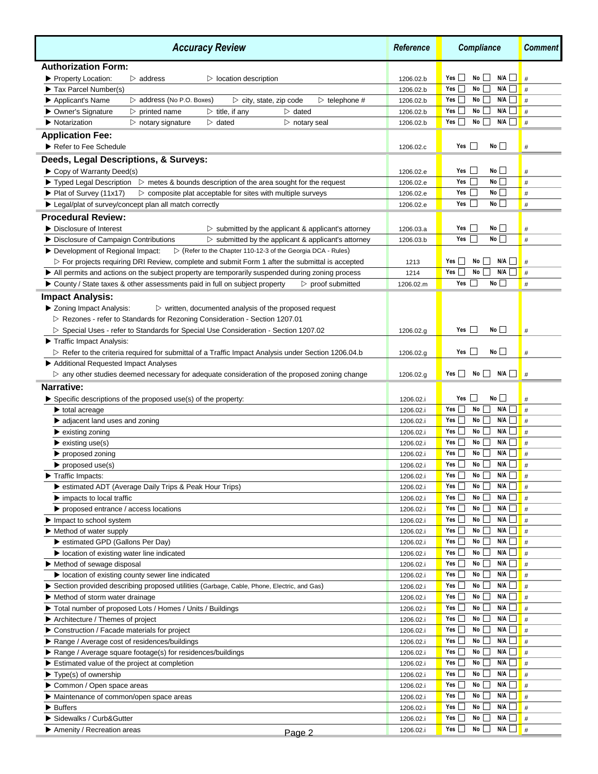| <b>Accuracy Review</b>                                                                                                                 |           | <b>Compliance</b>                                                              | <b>Comment</b> |
|----------------------------------------------------------------------------------------------------------------------------------------|-----------|--------------------------------------------------------------------------------|----------------|
| <b>Authorization Form:</b>                                                                                                             |           |                                                                                |                |
| Property Location:<br>$\triangleright$ address<br>$\triangleright$ location description                                                | 1206.02.b | No<br>N/A<br>Yes<br>$\mathcal{L}$                                              | #              |
| Tax Parcel Number(s)                                                                                                                   | 1206.02.b | N/A<br>Yes<br>No                                                               | #              |
| $\triangleright$ address (No P.O. Boxes)<br>$\triangleright$ telephone #<br>Applicant's Name<br>$\triangleright$ city, state, zip code | 1206.02.b | No<br>N/A<br>Yes                                                               | #              |
| ▶ Owner's Signature<br>$\triangleright$ printed name<br>$\triangleright$ title, if any<br>$\triangleright$ dated                       | 1206.02.b | No<br>N/A<br>Yes                                                               | #              |
| Notarization<br>$\triangleright$ notary signature<br>$\triangleright$ dated<br>$\triangleright$ notary seal                            | 1206.02.b | $N/A$    <br>No<br>Yes  <br>$\blacksquare$                                     | #              |
| <b>Application Fee:</b>                                                                                                                |           |                                                                                |                |
| Refer to Fee Schedule                                                                                                                  | 1206.02.c | No<br>Yes                                                                      | $\#$           |
| Deeds, Legal Descriptions, & Surveys:                                                                                                  |           |                                                                                |                |
| Copy of Warranty Deed(s)                                                                                                               | 1206.02.e | No<br>Yes                                                                      | #              |
| $\blacktriangleright$ Typed Legal Description $\blacktriangleright$ metes & bounds description of the area sought for the request      | 1206.02.e | No<br>Yes                                                                      | #              |
| ▶ Plat of Survey (11x17)<br>$\triangleright$ composite plat acceptable for sites with multiple surveys                                 | 1206.02.e | No<br>Yes                                                                      | #              |
| ▶ Legal/plat of survey/concept plan all match correctly                                                                                | 1206.02.e | No<br>Yes                                                                      | #              |
| <b>Procedural Review:</b>                                                                                                              |           |                                                                                |                |
| Disclosure of Interest<br>$\triangleright$ submitted by the applicant & applicant's attorney                                           | 1206.03.a | No<br>Yes                                                                      | #              |
| ▶ Disclosure of Campaign Contributions<br>$\triangleright$ submitted by the applicant & applicant's attorney                           | 1206.03.b | No I<br>Yes                                                                    | #              |
| ▷ (Refer to the Chapter 110-12-3 of the Georgia DCA - Rules)<br>Development of Regional Impact:                                        |           |                                                                                |                |
| $\triangleright$ For projects requiring DRI Review, complete and submit Form 1 after the submittal is accepted                         | 1213      | N/A<br>No<br>Yes                                                               | #              |
| In All permits and actions on the subject property are temporarily suspended during zoning process                                     | 1214      | N/A<br>Yes<br>No                                                               | #              |
| ▶ County / State taxes & other assessments paid in full on subject property<br>$\triangleright$ proof submitted                        | 1206.02.m | No<br>Yes                                                                      | #              |
| <b>Impact Analysis:</b>                                                                                                                |           |                                                                                |                |
| ▶ Zoning Impact Analysis:<br>$\triangleright$ written, documented analysis of the proposed request                                     |           |                                                                                |                |
| ▷ Rezones - refer to Standards for Rezoning Consideration - Section 1207.01                                                            |           |                                                                                |                |
| ▷ Special Uses - refer to Standards for Special Use Consideration - Section 1207.02                                                    | 1206.02.g | No<br>Yes                                                                      | #              |
| Traffic Impact Analysis:                                                                                                               |           |                                                                                |                |
| ▷ Refer to the criteria required for submittal of a Traffic Impact Analysis under Section 1206.04.b                                    | 1206.02.g | No<br>Yes                                                                      | #              |
| Additional Requested Impact Analyses                                                                                                   |           |                                                                                |                |
| $\triangleright$ any other studies deemed necessary for adequate consideration of the proposed zoning change                           | 1206.02.g | $\mathbf{I}$<br>No<br>$\blacksquare$<br>N/A<br>Yes                             | #              |
| Narrative:                                                                                                                             |           |                                                                                |                |
| $\blacktriangleright$ Specific descriptions of the proposed use(s) of the property:                                                    | 1206.02.i | No<br>Yes                                                                      | #              |
| $\blacktriangleright$ total acreage                                                                                                    | 1206.02.i | No<br>N/A<br>Yes                                                               | #              |
| $\blacktriangleright$ adjacent land uses and zoning                                                                                    | 1206.02.i | No<br>N/A<br>Yes                                                               | #              |
| $\blacktriangleright$ existing zoning                                                                                                  | 1206.02.i | No<br>N/A<br>Yes                                                               | #              |
| $\blacktriangleright$ existing use(s)                                                                                                  | 1206.02.i | No  <br>N/A<br>Yes                                                             | #              |
| proposed zoning                                                                                                                        | 1206.02.i | No<br>N/A<br>Yes                                                               | #              |
| $\blacktriangleright$ proposed use(s)                                                                                                  | 1206.02.i | N/A<br>Yes<br>No                                                               | #              |
| $\blacktriangleright$ Traffic Impacts:                                                                                                 | 1206.02.i | N/A<br>Yes ∐<br>No $\Box$                                                      | #              |
| Sestimated ADT (Average Daily Trips & Peak Hour Trips)                                                                                 | 1206.02.i | N/A<br>Yes<br>No                                                               | #              |
| $\blacktriangleright$ impacts to local traffic                                                                                         | 1206.02.i | Yes Notes<br>No<br>N/A                                                         | #              |
| $\triangleright$ proposed entrance / access locations                                                                                  | 1206.02.i | N/A<br>Yes<br>No                                                               | #              |
| $\blacktriangleright$ Impact to school system                                                                                          | 1206.02.i | $\overline{\phantom{a}}$<br>No  <br>N/A<br>Yes<br>$\blacksquare$               | #              |
| $\blacktriangleright$ Method of water supply                                                                                           | 1206.02.i | No<br>N/A<br>Yes                                                               | #              |
| Sestimated GPD (Gallons Per Day)                                                                                                       | 1206.02.i | No<br>N/A<br>$\blacksquare$<br>Yes Language                                    | #              |
| location of existing water line indicated                                                                                              | 1206.02.i | No<br>N/A<br>Yes                                                               | #              |
| Method of sewage disposal                                                                                                              | 1206.02.i | N/A<br>No<br>Yes [                                                             | #              |
| location of existing county sewer line indicated                                                                                       | 1206.02.i | Yes  <br>No<br>N/A                                                             | #              |
| Section provided describing proposed utilities (Garbage, Cable, Phone, Electric, and Gas)                                              | 1206.02.i | N/A<br>Yes __<br>No <sub>1</sub><br>$\overline{\phantom{a}}$<br>$\blacksquare$ | #              |
| Method of storm water drainage                                                                                                         | 1206.02.i | Yes <sub>1</sub><br>No<br>N/A                                                  | #              |
| Total number of proposed Lots / Homes / Units / Buildings                                                                              | 1206.02.i | No<br>N/A<br>Yes                                                               | $\parallel$ #  |
| $\blacktriangleright$ Architecture / Themes of project                                                                                 | 1206.02.i | No  <br>N/A<br>Yes                                                             | #              |
| Construction / Facade materials for project                                                                                            | 1206.02.i | N/A<br>Yes  <br>No                                                             | #              |
| Range / Average cost of residences/buildings                                                                                           | 1206.02.i | Yes<br>No<br>N/A                                                               | #              |
| Range / Average square footage(s) for residences/buildings                                                                             | 1206.02.i | Yes<br>No<br>N/A                                                               | #              |
| Estimated value of the project at completion                                                                                           | 1206.02.i | Yes  <br>No<br>N/A                                                             | #              |
| $\blacktriangleright$ Type(s) of ownership                                                                                             | 1206.02.i | No<br>$\overline{\phantom{a}}$<br>Yes <sub>l</sub><br>N/A                      | #              |
| Common / Open space areas                                                                                                              | 1206.02.i | $\overline{\phantom{a}}$<br>Yes  <br>No<br>N/A<br>$\blacksquare$               | #              |
| Maintenance of common/open space areas                                                                                                 | 1206.02.i | No<br>N/A<br>Yes                                                               | #              |
| $\blacktriangleright$ Buffers                                                                                                          | 1206.02.i | No<br>N/A<br>Yes                                                               | #              |
| Sidewalks / Curb&Gutter                                                                                                                | 1206.02.i | No<br>N/A<br>Yes                                                               | #              |
| ▶ Amenity / Recreation areas<br>Page 2                                                                                                 | 1206.02.i | No  <br>$N/A$ $\Box$ #<br>Yes                                                  |                |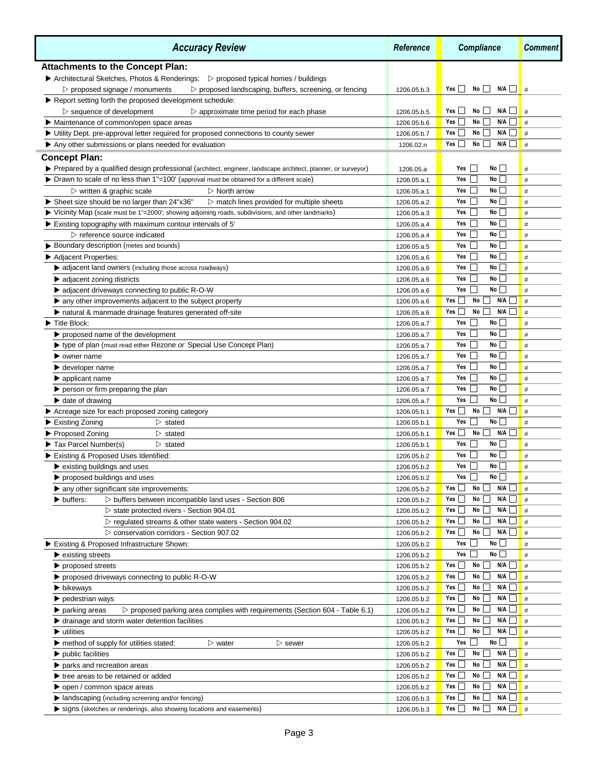| <b>Accuracy Review</b>                                                                                                             |                            | <b>Compliance</b>                             | <b>Comment</b> |
|------------------------------------------------------------------------------------------------------------------------------------|----------------------------|-----------------------------------------------|----------------|
| <b>Attachments to the Concept Plan:</b>                                                                                            |                            |                                               |                |
| ▶ Architectural Sketches, Photos & Renderings: ▷ proposed typical homes / buildings                                                |                            |                                               |                |
| $\triangleright$ proposed signage / monuments<br>$\triangleright$ proposed landscaping, buffers, screening, or fencing             | 1206.05.b.3                | $No$    <br>N/A<br>Yes                        | #              |
| Report setting forth the proposed development schedule:                                                                            |                            |                                               |                |
| $\triangleright$ sequence of development<br>$\triangleright$ approximate time period for each phase                                | 1206.05.b.5                | N/A<br>$Yes$  <br>$No$                        | #              |
| • Maintenance of common/open space areas                                                                                           | 1206.05.b.6                | N/A<br>Yes    <br>No<br>$\vert \ \ \vert$     | #              |
| Utility Dept. pre-approval letter required for proposed connections to county sewer                                                | 1206.05.b.7                | Yes<br>$No$    <br>N/A                        | #              |
| Any other submissions or plans needed for evaluation                                                                               | 1206.02.n                  | $No$    <br>$N/A$    <br>Yes                  | #              |
| <b>Concept Plan:</b>                                                                                                               |                            |                                               |                |
| Prepared by a qualified design professional (architect, engineer, landscape architect, planner, or surveyor)                       | 1206.05.a                  | No<br>Yes                                     | #              |
| > Drawn to scale of no less than 1"=100' (approval must be obtained for a different scale)                                         | 1206.05.a.1                | No<br>Yes                                     | #              |
| $\triangleright$ written & graphic scale<br>$\triangleright$ North arrow                                                           | 1206.05.a.1                | No<br>Yes                                     | #              |
| Sheet size should be no larger than 24"x36"<br>$\triangleright$ match lines provided for multiple sheets                           | 1206.05.a.2                | No<br>Yes                                     | #              |
| Vicinity Map (scale must be 1"=2000'; showing adjoining roads, subdivisions, and other landmarks)                                  | 1206.05.a.3                | No<br>Yes                                     | #              |
| Existing topography with maximum contour intervals of 5'                                                                           | 1206.05.a.4                | No<br>Yes                                     | #              |
| $\triangleright$ reference source indicated                                                                                        | 1206.05.a.4                | No<br>Yes                                     | #              |
| ▶ Boundary description (metes and bounds)                                                                                          | 1206.05.a.5                | No<br>Yes                                     | #              |
| Adjacent Properties:                                                                                                               | 1206.05.a.6                | No<br>Yes                                     | $\#$           |
| • adjacent land owners (including those across roadways)                                                                           | 1206.05.a.6                | No<br>Yes                                     | #              |
| $\blacktriangleright$ adjacent zoning districts                                                                                    | 1206.05.a.6                | <b>No</b><br>Yes                              | #              |
| A adjacent driveways connecting to public R-O-W                                                                                    | 1206.05.a.6                | No<br>Yes<br>$\mathbf{L}$                     | #              |
| $\blacktriangleright$ any other improvements adjacent to the subject property                                                      | 1206.05.a.6                | N/A<br>No<br>Yes                              | #              |
| If natural & manmade drainage features generated off-site                                                                          | 1206.05.a.6                | N/A<br>No<br>Yes                              | #              |
| Title Block:                                                                                                                       | 1206.05.a.7                | No<br>Yes<br>No                               | #              |
| proposed name of the development<br>▶ type of plan (must read either Rezone or Special Use Concept Plan)                           | 1206.05.a.7                | Yes<br>No<br>Yes                              | #              |
|                                                                                                                                    | 1206.05.a.7                | No l<br>Yes                                   | #              |
| owner name                                                                                                                         | 1206.05.a.7                | <b>No</b><br>Yes                              | #<br>#         |
| $\blacktriangleright$ developer name                                                                                               | 1206.05.a.7<br>1206.05.a.7 | No<br>Yes                                     | #              |
| $\blacktriangleright$ applicant name<br>$\blacktriangleright$ person or firm preparing the plan                                    | 1206.05.a.7                | No<br>Yes                                     | #              |
| $\blacktriangleright$ date of drawing                                                                                              | 1206.05.a.7                | No<br>Yes                                     | #              |
| Acreage size for each proposed zoning category                                                                                     | 1206.05.b.1                | N/A<br>Yes  <br>No                            | #              |
| <b>Existing Zoning</b><br>$\triangleright$ stated                                                                                  | 1206.05.b.1                | No<br>Yes                                     | #              |
| ▶ Proposed Zoning<br>$\triangleright$ stated                                                                                       | 1206.05.b.1                | No<br>N/A<br>Yes  <br>- 1                     | #              |
| Tax Parcel Number(s)<br>$\triangleright$ stated                                                                                    | 1206.05.b.1                | No<br>Yes                                     | #              |
| Existing & Proposed Uses Identified:                                                                                               | 1206.05.b.2                | <b>No</b><br>Yes                              | $\#$           |
| $\blacktriangleright$ existing buildings and uses                                                                                  | 1206.05.b.2                | No<br>Yes                                     | #              |
| $\blacktriangleright$ proposed buildings and uses                                                                                  | 1206.05.b.2                | Yes<br>$\mathsf{No} \bigsqcup$                | $\#$           |
| $\blacktriangleright$ any other significant site improvements:                                                                     | 1206.05.b.2                | N/A<br>No<br>Yes                              | #              |
| $\triangleright$ buffers between incompatible land uses - Section 806<br>buffers:                                                  | 1206.05.b.2                | N/A<br>No<br>Yes                              | #              |
| State protected rivers - Section 904.01                                                                                            | 1206.05.b.2                | Yes $\Box$<br>No<br>N/A                       | #              |
| ▷ regulated streams & other state waters - Section 904.02                                                                          | 1206.05.b.2                | Yes $\Box$<br>No<br>N/A<br>$\vert \ \ \vert$  | #              |
| ▷ conservation corridors - Section 907.02                                                                                          | 1206.05.b.2                | No<br>N/A<br>Yes                              | #              |
| Existing & Proposed Infrastructure Shown:                                                                                          | 1206.05.b.2                | No<br>Yes                                     | #              |
| $\blacktriangleright$ existing streets                                                                                             | 1206.05.b.2                | No<br>Yes $\Box$                              | #              |
| proposed streets                                                                                                                   | 1206.05.b.2                | N/A<br>Yes<br>No                              | #              |
| ▶ proposed driveways connecting to public R-O-W                                                                                    | 1206.05.b.2                | No<br>N/A<br>$Yes \_$                         | #              |
| $\blacktriangleright$ bikeways                                                                                                     | 1206.05.b.2                | No<br>N/A<br>Yes<br>$\sim$                    | #              |
| $\blacktriangleright$ pedestrian ways                                                                                              | 1206.05.b.2                | No<br>N/A  <br>$Yes$ $\Box$                   | #              |
| $\triangleright$ proposed parking area complies with requirements (Section 604 - Table 6.1)<br>$\blacktriangleright$ parking areas | 1206.05.b.2                | No<br>N/A  <br>$\Box$<br>Yes $\Box$           | #              |
| ► drainage and storm water detention facilities                                                                                    | 1206.05.b.2                | N/A<br>Yes<br>No<br>$\blacksquare$            | #              |
| $\blacktriangleright$ utilities                                                                                                    | 1206.05.b.2                | $N/A$ $\Box$ #<br>Yes<br>No<br>$\blacksquare$ |                |
| $\blacktriangleright$ method of supply for utilities stated:<br>$\triangleright$ water<br>$\triangleright$ sewer                   | 1206.05.b.2                | No<br>Yes                                     | $\#$           |
| $\blacktriangleright$ public facilities                                                                                            | 1206.05.b.2                | N/A<br>Yes __<br>No                           | #              |
| parks and recreation areas                                                                                                         | 1206.05.b.2                | No<br>N/A<br>Yes                              | #              |
| $\blacktriangleright$ tree areas to be retained or added                                                                           | 1206.05.b.2                | N/A<br>Yes __<br>No                           | $\Box$ #       |
| open / common space areas                                                                                                          | 1206.05.b.2                | N/A<br>Yes <b>your</b><br>No                  | #              |
| landscaping (including screening and/or fencing)                                                                                   | 1206.05.b.3                | No<br>N/A<br>Yes                              | J <b> </b> #   |
| signs (sketches or renderings, also showing locations and easements)                                                               | 1206.05.b.3                | $N/A$ $\Box$ #<br>Yes $\Box$<br>$No$ $\Box$   |                |